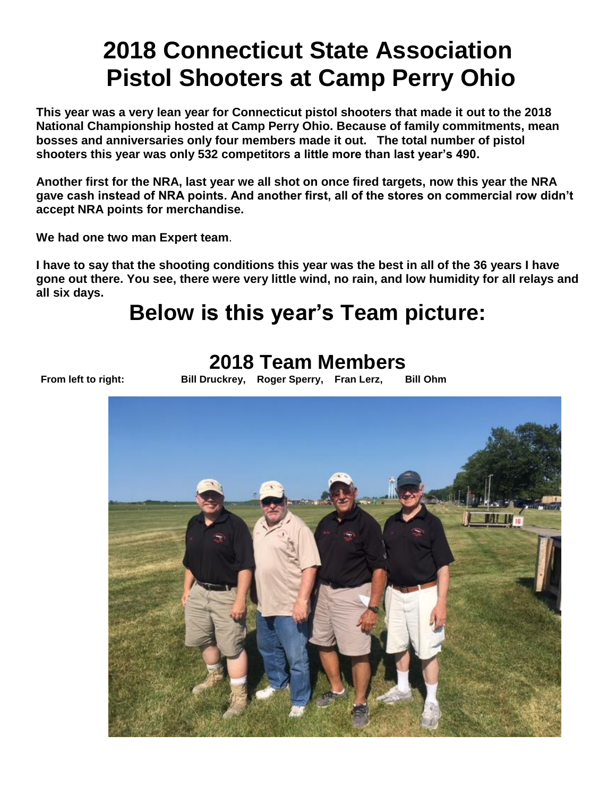# **2018 Connecticut State Association Pistol Shooters at Camp Perry Ohio**

**This year was a very lean year for Connecticut pistol shooters that made it out to the 2018 National Championship hosted at Camp Perry Ohio. Because of family commitments, mean bosses and anniversaries only four members made it out. The total number of pistol shooters this year was only 532 competitors a little more than last year's 490.**

**Another first for the NRA, last year we all shot on once fired targets, now this year the NRA gave cash instead of NRA points. And another first, all of the stores on commercial row didn't accept NRA points for merchandise.** 

**We had one two man Expert team**.

**I have to say that the shooting conditions this year was the best in all of the 36 years I have gone out there. You see, there were very little wind, no rain, and low humidity for all relays and all six days.** 

# **Below is this year's Team picture:**

### **2018 Team Members**

**From left to right: Bill Druckrey, Roger Sperry, Fran Lerz, Bill Ohm**

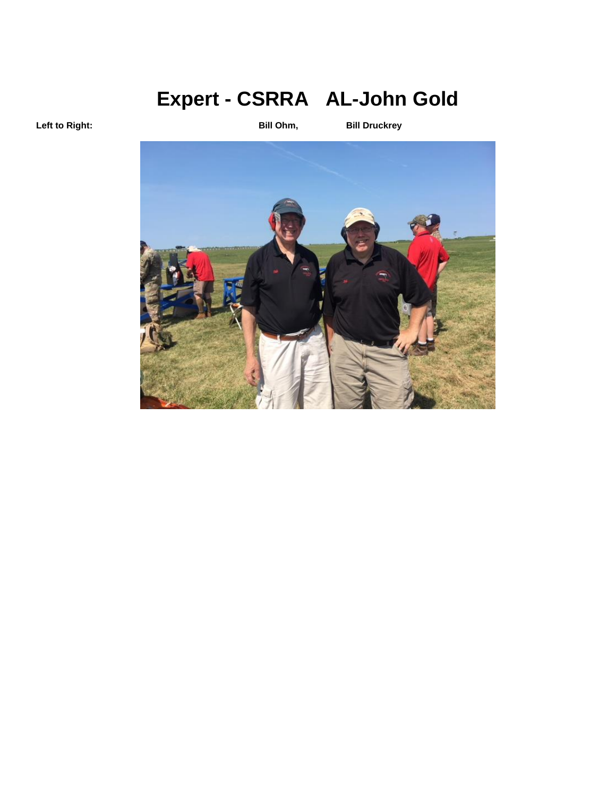# **Expert - CSRRA AL-John Gold**

**Left to Right: Bill Ohm, Bill Druckrey**